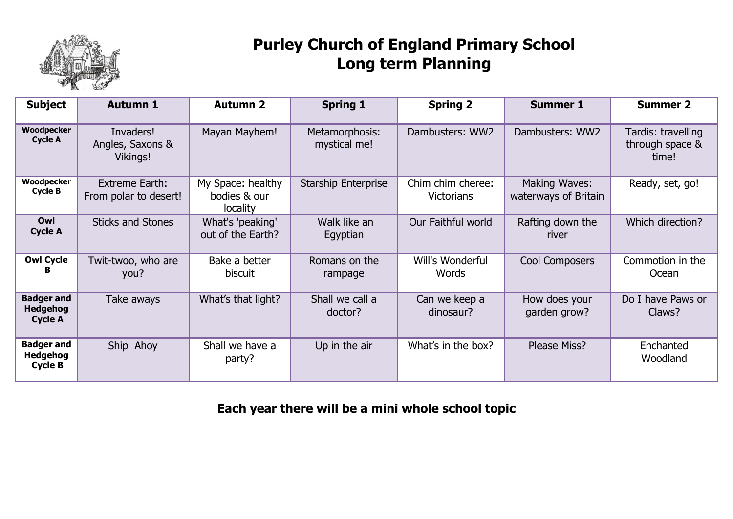

### **Purley Church of England Primary School Long term Planning**

| <b>Subject</b>                                         | <b>Autumn 1</b>                           | <b>Autumn 2</b>                               | <b>Spring 1</b>                | <b>Spring 2</b>                        | <b>Summer 1</b>                       | <b>Summer 2</b>                                |
|--------------------------------------------------------|-------------------------------------------|-----------------------------------------------|--------------------------------|----------------------------------------|---------------------------------------|------------------------------------------------|
| Woodpecker<br><b>Cycle A</b>                           | Invaders!<br>Angles, Saxons &<br>Vikings! | Mayan Mayhem!                                 | Metamorphosis:<br>mystical me! | Dambusters: WW2                        | Dambusters: WW2                       | Tardis: travelling<br>through space &<br>time! |
| Woodpecker<br><b>Cycle B</b>                           | Extreme Earth:<br>From polar to desert!   | My Space: healthy<br>bodies & our<br>locality | <b>Starship Enterprise</b>     | Chim chim cheree:<br><b>Victorians</b> | Making Waves:<br>waterways of Britain | Ready, set, go!                                |
| Owl<br><b>Cycle A</b>                                  | <b>Sticks and Stones</b>                  | What's 'peaking'<br>out of the Earth?         | Walk like an<br>Egyptian       | Our Faithful world                     | Rafting down the<br>river             | Which direction?                               |
| <b>Owl Cycle</b><br>в                                  | Twit-twoo, who are<br>you?                | Bake a better<br>biscuit                      | Romans on the<br>rampage       | Will's Wonderful<br>Words              | <b>Cool Composers</b>                 | Commotion in the<br>Ocean                      |
| <b>Badger and</b><br><b>Hedgehog</b><br><b>Cycle A</b> | Take aways                                | What's that light?                            | Shall we call a<br>doctor?     | Can we keep a<br>dinosaur?             | How does your<br>garden grow?         | Do I have Paws or<br>Claws?                    |
| <b>Badger and</b><br><b>Hedgehog</b><br><b>Cycle B</b> | Ship Ahoy                                 | Shall we have a<br>party?                     | Up in the air                  | What's in the box?                     | Please Miss?                          | Enchanted<br>Woodland                          |

**Each year there will be a mini whole school topic**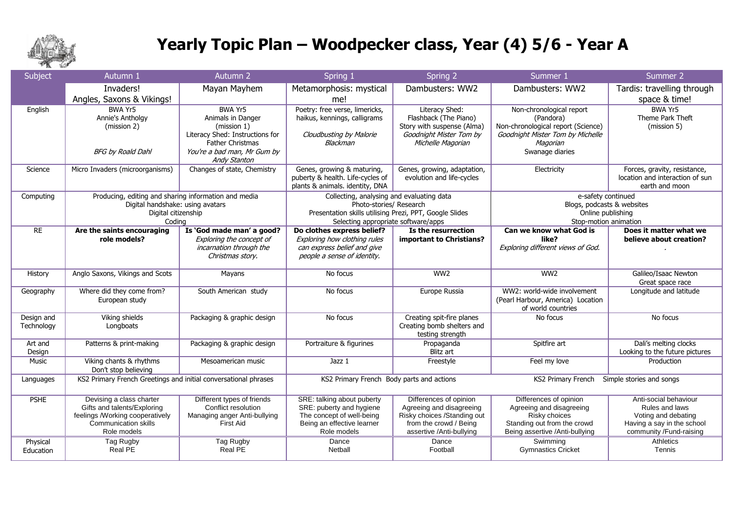

## **Yearly Topic Plan – Woodpecker class, Year (4) 5/6 - Year A**

| Subject                  | Autumn 1                                                                                                                                 | Autumn 2                                                                                                                                                        | Spring 1                                                                                                                                                               | Spring 2                                                                                                                                | Summer 1                                                                                                                                       | Summer 2                                                                                                                |
|--------------------------|------------------------------------------------------------------------------------------------------------------------------------------|-----------------------------------------------------------------------------------------------------------------------------------------------------------------|------------------------------------------------------------------------------------------------------------------------------------------------------------------------|-----------------------------------------------------------------------------------------------------------------------------------------|------------------------------------------------------------------------------------------------------------------------------------------------|-------------------------------------------------------------------------------------------------------------------------|
|                          | Invaders!<br>Angles, Saxons & Vikings!                                                                                                   | Mayan Mayhem                                                                                                                                                    | Metamorphosis: mystical<br>me!                                                                                                                                         | Dambusters: WW2                                                                                                                         | Dambusters: WW2                                                                                                                                | Tardis: travelling through<br>space & time!                                                                             |
| English                  | BWA Yr5<br>Annie's Antholgy<br>(mission 2)<br><b>BFG by Roald Dahl</b>                                                                   | BWA Yr5<br>Animals in Danger<br>(mission 1)<br>Literacy Shed: Instructions for<br><b>Father Christmas</b><br>You're a bad man, Mr Gum by<br><b>Andy Stanton</b> | Poetry: free verse, limericks,<br>haikus, kennings, calligrams<br>Cloudbusting by Malorie<br>Blackman                                                                  | Literacy Shed:<br>Flashback (The Piano)<br>Story with suspense (Alma)<br>Goodnight Mister Tom by<br>Michelle Magorian                   | Non-chronological report<br>(Pandora)<br>Non-chronological report (Science)<br>Goodnight Mister Tom by Michelle<br>Magorian<br>Swanage diaries | <b>BWA Yr5</b><br>Theme Park Theft<br>(mission 5)                                                                       |
| Science                  | Micro Invaders (microorganisms)                                                                                                          | Changes of state, Chemistry                                                                                                                                     | Genes, growing & maturing,<br>puberty & health. Life-cycles of<br>plants & animals. identity, DNA                                                                      | Genes, growing, adaptation,<br>evolution and life-cycles                                                                                | Electricity                                                                                                                                    | Forces, gravity, resistance,<br>location and interaction of sun<br>earth and moon                                       |
| Computing                | Producing, editing and sharing information and media<br>Digital handshake: using avatars<br>Digital citizenship<br>Coding                |                                                                                                                                                                 | Collecting, analysing and evaluating data<br>Photo-stories/ Research<br>Presentation skills utilising Prezi, PPT, Google Slides<br>Selecting appropriate software/apps |                                                                                                                                         | e-safety continued<br>Blogs, podcasts & websites<br>Online publishing<br>Stop-motion animation                                                 |                                                                                                                         |
| RE                       | Are the saints encouraging<br>role models?                                                                                               | Is 'God made man' a good?<br>Exploring the concept of<br>incarnation through the<br>Christmas story.                                                            | Do clothes express belief?<br>Exploring how clothing rules<br>can express belief and give<br>people a sense of identity.                                               | Is the resurrection<br>important to Christians?                                                                                         | Can we know what God is<br>like?<br>Exploring different views of God.                                                                          | Does it matter what we<br>believe about creation?                                                                       |
| History                  | Anglo Saxons, Vikings and Scots                                                                                                          | Mayans                                                                                                                                                          | No focus                                                                                                                                                               | WW2                                                                                                                                     | WW2                                                                                                                                            | Galileo/Isaac Newton<br>Great space race                                                                                |
| Geography                | Where did they come from?<br>European study                                                                                              | South American study                                                                                                                                            | No focus                                                                                                                                                               | Europe Russia                                                                                                                           | WW2: world-wide involvement<br>(Pearl Harbour, America) Location<br>of world countries                                                         | Longitude and latitude                                                                                                  |
| Design and<br>Technology | Viking shields<br>Longboats                                                                                                              | Packaging & graphic design                                                                                                                                      | No focus                                                                                                                                                               | Creating spit-fire planes<br>Creating bomb shelters and<br>testing strength                                                             | No focus                                                                                                                                       | No focus                                                                                                                |
| Art and<br>Design        | Patterns & print-making                                                                                                                  | Packaging & graphic design                                                                                                                                      | Portraiture & figurines                                                                                                                                                | Propaganda<br>Blitz art                                                                                                                 | Spitfire art                                                                                                                                   | Dali's melting clocks<br>Looking to the future pictures                                                                 |
| Music                    | Viking chants & rhythms<br>Don't stop believing                                                                                          | Mesoamerican music                                                                                                                                              | Jazz 1                                                                                                                                                                 | Freestyle                                                                                                                               | Feel my love                                                                                                                                   | Production                                                                                                              |
| Languages                | KS2 Primary French Greetings and initial conversational phrases                                                                          |                                                                                                                                                                 | KS2 Primary French Body parts and actions                                                                                                                              |                                                                                                                                         | KS2 Primary French                                                                                                                             | Simple stories and songs                                                                                                |
| <b>PSHE</b>              | Devising a class charter<br>Gifts and talents/Exploring<br>feelings /Working cooperatively<br><b>Communication skills</b><br>Role models | Different types of friends<br>Conflict resolution<br>Managing anger Anti-bullying<br>First Aid                                                                  | SRE: talking about puberty<br>SRE: puberty and hygiene<br>The concept of well-being<br>Being an effective learner<br>Role models                                       | Differences of opinion<br>Agreeing and disagreeing<br>Risky choices /Standing out<br>from the crowd / Being<br>assertive /Anti-bullying | Differences of opinion<br>Agreeing and disagreeing<br>Risky choices<br>Standing out from the crowd<br>Being assertive /Anti-bullying           | Anti-social behaviour<br>Rules and laws<br>Voting and debating<br>Having a say in the school<br>community /Fund-raising |
| Physical<br>Education    | Tag Rugby<br>Real PE                                                                                                                     | Tag Rugby<br>Real PE                                                                                                                                            | Dance<br>Netball                                                                                                                                                       | Dance<br>Football                                                                                                                       | Swimming<br><b>Gymnastics Cricket</b>                                                                                                          | Athletics<br>Tennis                                                                                                     |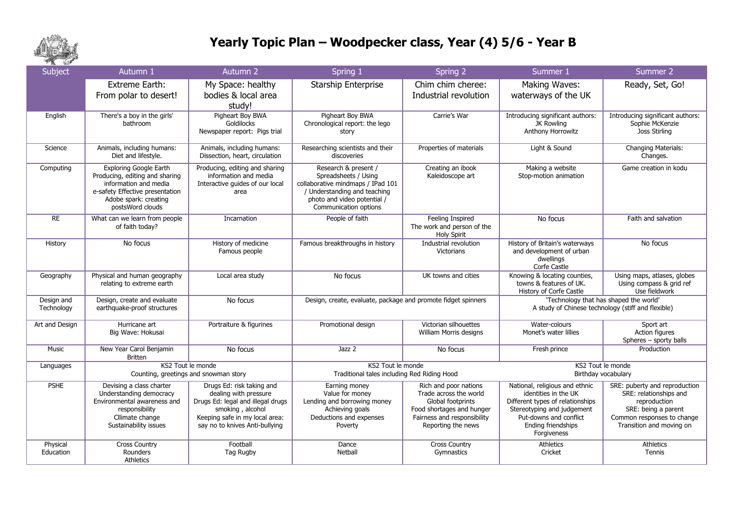

#### **Yearly Topic Plan – Woodpecker class, Year (4) 5/6 - Year B**

| <b>COL</b><br>Subject    | Autumn 1                                                                                                                                                                 | Autumn 2                                                                                                                                                                        | Spring 1                                                                                                                                                                  | Spring 2                                                                                                                                               | Summer 1                                                                                                                                                                                | Summer 2                                                                                                                                                 |
|--------------------------|--------------------------------------------------------------------------------------------------------------------------------------------------------------------------|---------------------------------------------------------------------------------------------------------------------------------------------------------------------------------|---------------------------------------------------------------------------------------------------------------------------------------------------------------------------|--------------------------------------------------------------------------------------------------------------------------------------------------------|-----------------------------------------------------------------------------------------------------------------------------------------------------------------------------------------|----------------------------------------------------------------------------------------------------------------------------------------------------------|
|                          | <b>Extreme Earth:</b><br>From polar to desert!                                                                                                                           | My Space: healthy<br>bodies & local area<br>study!                                                                                                                              | Starship Enterprise                                                                                                                                                       | Chim chim cheree:<br>Industrial revolution                                                                                                             | Making Waves:<br>waterways of the UK                                                                                                                                                    | Ready, Set, Go!                                                                                                                                          |
| English                  | There's a boy in the girls'<br>bathroom                                                                                                                                  | Pigheart Boy BWA<br>Goldilocks<br>Newspaper report: Pigs trial                                                                                                                  | Pigheart Boy BWA<br>Chronological report: the lego<br>story                                                                                                               | Carrie's War                                                                                                                                           | Introducing significant authors:<br>JK Rowling<br>Anthony Horrowitz                                                                                                                     | Introducing significant authors:<br>Sophie McKenzie<br>Joss Stirling                                                                                     |
| Science                  | Animals, including humans:<br>Diet and lifestyle.                                                                                                                        | Animals, including humans:<br>Dissection, heart, circulation                                                                                                                    | Researching scientists and their<br>discoveries                                                                                                                           | Properties of materials                                                                                                                                | Light & Sound                                                                                                                                                                           | Changing Materials:<br>Changes.                                                                                                                          |
| Computing                | <b>Exploring Google Earth</b><br>Producing, editing and sharing<br>information and media<br>e-safety Effective presentation<br>Adobe spark: creating<br>postsWord clouds | Producing, editing and sharing<br>information and media<br>Interactive quides of our local<br>area                                                                              | Research & present /<br>Spreadsheets / Using<br>collaborative mindmaps / IPad 101<br>/ Understanding and teaching<br>photo and video potential /<br>Communication options | Creating an ibook<br>Kaleidoscope art                                                                                                                  | Making a website<br>Stop-motion animation                                                                                                                                               | Game creation in kodu                                                                                                                                    |
| <b>RE</b>                | What can we learn from people<br>of faith today?                                                                                                                         | Incarnation                                                                                                                                                                     | People of faith                                                                                                                                                           | Feeling Inspired<br>The work and person of the<br><b>Holy Spirit</b>                                                                                   | No focus                                                                                                                                                                                | Faith and salvation                                                                                                                                      |
| History                  | No focus                                                                                                                                                                 | History of medicine<br>Famous people                                                                                                                                            | Famous breakthroughs in history                                                                                                                                           | Industrial revolution<br><b>Victorians</b>                                                                                                             | History of Britain's waterways<br>and development of urban<br>dwellings<br>Corfe Castle                                                                                                 | No focus                                                                                                                                                 |
| Geography                | Physical and human geography<br>relating to extreme earth                                                                                                                | Local area study                                                                                                                                                                | No focus                                                                                                                                                                  | UK towns and cities                                                                                                                                    | Knowing & locating counties,<br>towns & features of UK.<br>History of Corfe Castle                                                                                                      | Using maps, atlases, globes<br>Using compass & grid ref<br>Use fieldwork                                                                                 |
| Design and<br>Technology | Design, create and evaluate<br>earthquake-proof structures                                                                                                               | No focus                                                                                                                                                                        | Design, create, evaluate, package and promote fidget spinners                                                                                                             |                                                                                                                                                        | 'Technology that has shaped the world'<br>A study of Chinese technology (stiff and flexible)                                                                                            |                                                                                                                                                          |
| Art and Design           | Hurricane art<br>Big Wave: Hokusai                                                                                                                                       | Portraiture & figurines                                                                                                                                                         | Promotional design                                                                                                                                                        | Victorian silhouettes<br>William Morris designs                                                                                                        | Water-colours<br>Monet's water lillies                                                                                                                                                  | Sport art<br>Action figures<br>Spheres - sporty balls                                                                                                    |
| Music                    | New Year Carol Benjamin<br><b>Britten</b>                                                                                                                                | No focus                                                                                                                                                                        | Jazz 2                                                                                                                                                                    | No focus                                                                                                                                               | Fresh prince                                                                                                                                                                            | Production                                                                                                                                               |
| Languages                | Counting, greetings and snowman story                                                                                                                                    | KS2 Tout le monde                                                                                                                                                               | KS2 Tout le monde<br>Traditional tales including Red Riding Hood                                                                                                          |                                                                                                                                                        | KS2 Tout le monde<br>Birthday vocabulary                                                                                                                                                |                                                                                                                                                          |
| <b>PSHE</b>              | Devising a class charter<br>Understanding democracy<br>Environmental awareness and<br>responsibility<br>Cllimate change<br>Sustainability issues                         | Drugs Ed: risk taking and<br>dealing with pressure<br>Drugs Ed: legal and illegal drugs<br>smoking, alcohol<br>Keeping safe in my local area:<br>say no to knives Anti-bullying | Earning money<br>Value for money<br>Lending and borrowing money<br>Achieving goals<br>Deductions and expenses<br>Poverty                                                  | Rich and poor nations<br>Trade across the world<br>Global footprints<br>Food shortages and hunger<br>Fairness and responsibility<br>Reporting the news | National, religious and ethnic<br>identities in the UK<br>Different types of relationships<br>Stereotyping and judgement<br>Put-downs and conflict<br>Ending friendships<br>Forgiveness | SRE: puberty and reproduction<br>SRE: relationships and<br>reproduction<br>SRE: being a parent<br>Common responses to change<br>Transition and moving on |
| Physical<br>Education    | <b>Cross Country</b><br>Rounders<br>Athletics                                                                                                                            | Football<br>Tag Rugby                                                                                                                                                           | Dance<br>Netball                                                                                                                                                          | <b>Cross Country</b><br>Gymnastics                                                                                                                     | Athletics<br>Cricket                                                                                                                                                                    | Athletics<br>Tennis                                                                                                                                      |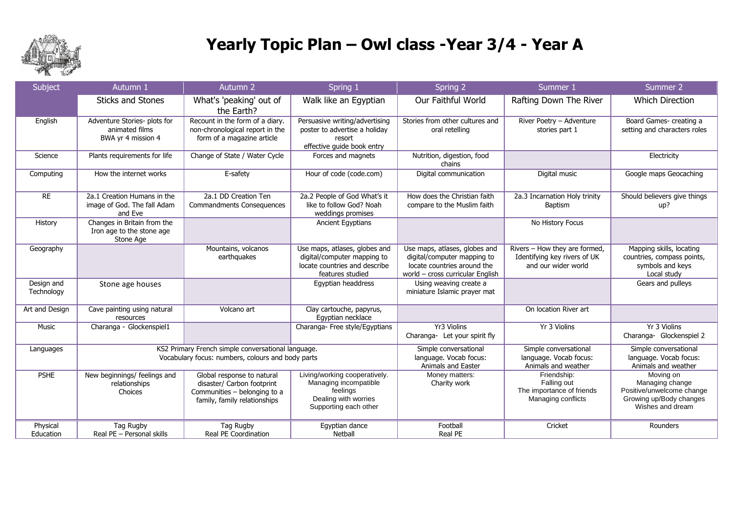

# **Yearly Topic Plan – Owl class -Year 3/4 - Year A**

| Subject                  | Autumn 1                                                                                                | Autumn 2                                                                                                                 | Spring 1                                                                                                            | Spring 2                                                                                                                        | Summer 1                                                                             | Summer 2                                                                                                 |
|--------------------------|---------------------------------------------------------------------------------------------------------|--------------------------------------------------------------------------------------------------------------------------|---------------------------------------------------------------------------------------------------------------------|---------------------------------------------------------------------------------------------------------------------------------|--------------------------------------------------------------------------------------|----------------------------------------------------------------------------------------------------------|
|                          | <b>Sticks and Stones</b>                                                                                | What's 'peaking' out of<br>the Earth?                                                                                    | Walk like an Egyptian                                                                                               | Our Faithful World                                                                                                              | Rafting Down The River                                                               | <b>Which Direction</b>                                                                                   |
| English                  | Adventure Stories- plots for<br>animated films<br>BWA yr 4 mission 4                                    | Recount in the form of a diary.<br>non-chronological report in the<br>form of a magazine article                         | Persuasive writing/advertising<br>poster to advertise a holiday<br>resort<br>effective guide book entry             | Stories from other cultures and<br>oral retelling                                                                               | River Poetry - Adventure<br>stories part 1                                           | Board Games- creating a<br>setting and characters roles                                                  |
| Science                  | Plants requirements for life                                                                            | Change of State / Water Cycle                                                                                            | Forces and magnets                                                                                                  | Nutrition, digestion, food<br>chains                                                                                            |                                                                                      | Electricity                                                                                              |
| Computing                | How the internet works                                                                                  | E-safety                                                                                                                 | Hour of code (code.com)                                                                                             | Digital communication                                                                                                           | Digital music                                                                        | Google maps Geocaching                                                                                   |
| <b>RE</b>                | 2a.1 Creation Humans in the<br>image of God. The fall Adam<br>and Eve                                   | 2a.1 DD Creation Ten<br><b>Commandments Consequences</b>                                                                 | 2a.2 People of God What's it<br>like to follow God? Noah<br>weddings promises                                       | How does the Christian faith<br>compare to the Muslim faith                                                                     | 2a.3 Incarnation Holy trinity<br><b>Baptism</b>                                      | Should believers give things<br>up?                                                                      |
| History                  | Changes in Britain from the<br>Iron age to the stone age<br>Stone Age                                   |                                                                                                                          | Ancient Egyptians                                                                                                   |                                                                                                                                 | No History Focus                                                                     |                                                                                                          |
| Geography                |                                                                                                         | Mountains, volcanos<br>earthquakes                                                                                       | Use maps, atlases, globes and<br>digital/computer mapping to<br>locate countries and describe<br>features studied   | Use maps, atlases, globes and<br>digital/computer mapping to<br>locate countries around the<br>world - cross curricular English | Rivers - How they are formed,<br>Identifying key rivers of UK<br>and our wider world | Mapping skills, locating<br>countries, compass points,<br>symbols and keys<br>Local study                |
| Design and<br>Technology | Stone age houses                                                                                        |                                                                                                                          | Egyptian headdress                                                                                                  | Using weaving create a<br>miniature Islamic prayer mat                                                                          |                                                                                      | Gears and pulleys                                                                                        |
| Art and Design           | Cave painting using natural<br>resources                                                                | Volcano art                                                                                                              | Clay cartouche, papyrus,<br>Egyptian necklace                                                                       |                                                                                                                                 | On location River art                                                                |                                                                                                          |
| Music                    | Charanga - Glockenspiel1                                                                                |                                                                                                                          | Charanga- Free style/Egyptians                                                                                      | Yr3 Violins<br>Charanga- Let your spirit fly                                                                                    | Yr 3 Violins                                                                         | Yr 3 Violins<br>Charanga- Glockenspiel 2                                                                 |
| Languages                | KS2 Primary French simple conversational language.<br>Vocabulary focus: numbers, colours and body parts |                                                                                                                          | Simple conversational<br>language. Vocab focus:<br>Animals and Easter                                               | Simple conversational<br>language. Vocab focus:<br>Animals and weather                                                          | Simple conversational<br>language. Vocab focus:<br>Animals and weather               |                                                                                                          |
| <b>PSHE</b>              | New beginnings/ feelings and<br>relationships<br>Choices                                                | Global response to natural<br>disaster/ Carbon footprint<br>Communities - belonging to a<br>family, family relationships | Living/working cooperatively.<br>Managing incompatible<br>feelings<br>Dealing with worries<br>Supporting each other | Money matters:<br>Charity work                                                                                                  | Friendship:<br>Falling out<br>The importance of friends<br>Managing conflicts        | Moving on<br>Managing change<br>Positive/unwelcome change<br>Growing up/Body changes<br>Wishes and dream |
| Physical<br>Education    | Tag Rugby<br>Real PE - Personal skills                                                                  | Tag Rugby<br>Real PE Coordination                                                                                        | Egyptian dance<br>Netball                                                                                           | Football<br>Real PE                                                                                                             | Cricket                                                                              | Rounders                                                                                                 |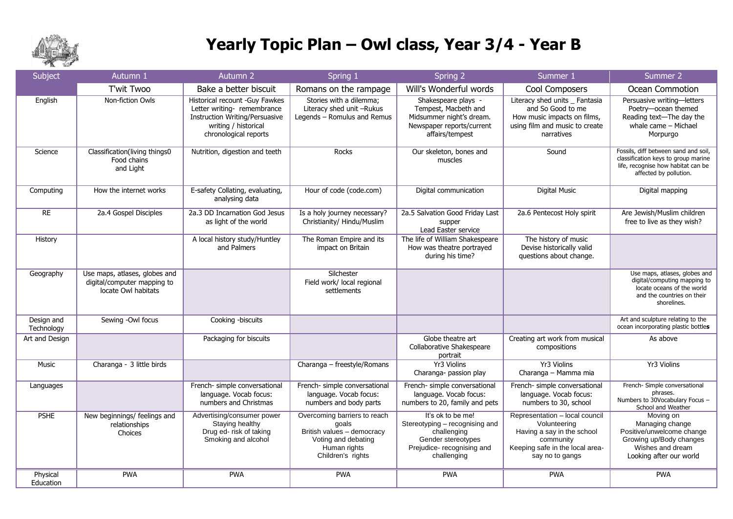

## **Yearly Topic Plan – Owl class, Year 3/4 - Year B**

| Subject                  | Autumn 1                                                                            | Autumn 2                                                                                                                                                | Spring 1                                                                                                                        | Spring 2                                                                                                                              | Summer 1                                                                                                                                        | Summer 2                                                                                                                                    |
|--------------------------|-------------------------------------------------------------------------------------|---------------------------------------------------------------------------------------------------------------------------------------------------------|---------------------------------------------------------------------------------------------------------------------------------|---------------------------------------------------------------------------------------------------------------------------------------|-------------------------------------------------------------------------------------------------------------------------------------------------|---------------------------------------------------------------------------------------------------------------------------------------------|
|                          | T'wit Twoo                                                                          | Bake a better biscuit                                                                                                                                   | Romans on the rampage                                                                                                           | Will's Wonderful words                                                                                                                | Cool Composers                                                                                                                                  | Ocean Commotion                                                                                                                             |
| English                  | Non-fiction Owls                                                                    | Historical recount -Guy Fawkes<br>Letter writing- remembrance<br><b>Instruction Writing/Persuasive</b><br>writing / historical<br>chronological reports | Stories with a dilemma;<br>Literacy shed unit -Rukus<br>Legends - Romulus and Remus                                             | Shakespeare plays -<br>Tempest, Macbeth and<br>Midsummer night's dream.<br>Newspaper reports/current<br>affairs/tempest               | Literacy shed units _ Fantasia<br>and So Good to me<br>How music impacts on films,<br>using film and music to create<br>narratives              | Persuasive writing-letters<br>Poetry-ocean themed<br>Reading text-The day the<br>whale came - Michael<br>Morpurgo                           |
| Science                  | Classification(living things0<br>Food chains<br>and Light                           | Nutrition, digestion and teeth                                                                                                                          | Rocks                                                                                                                           | Our skeleton, bones and<br>muscles                                                                                                    | Sound                                                                                                                                           | Fossils, diff between sand and soil,<br>classification keys to group marine<br>life, recognise how habitat can be<br>affected by pollution. |
| Computing                | How the internet works                                                              | E-safety Collating, evaluating,<br>analysing data                                                                                                       | Hour of code (code.com)                                                                                                         | Digital communication                                                                                                                 | <b>Digital Music</b>                                                                                                                            | Digital mapping                                                                                                                             |
| RE                       | 2a.4 Gospel Disciples                                                               | 2a.3 DD Incarnation God Jesus<br>as light of the world                                                                                                  | Is a holy journey necessary?<br>Christianity/ Hindu/Muslim                                                                      | 2a.5 Salvation Good Friday Last<br>supper<br>Lead Easter service                                                                      | 2a.6 Pentecost Holy spirit                                                                                                                      | Are Jewish/Muslim children<br>free to live as they wish?                                                                                    |
| History                  |                                                                                     | A local history study/Huntley<br>and Palmers                                                                                                            | The Roman Empire and its<br>impact on Britain                                                                                   | The life of William Shakespeare<br>How was theatre portrayed<br>during his time?                                                      | The history of music<br>Devise historically valid<br>questions about change.                                                                    |                                                                                                                                             |
| Geography                | Use maps, atlases, globes and<br>digital/computer mapping to<br>locate Owl habitats |                                                                                                                                                         | Silchester<br>Field work/ local regional<br>settlements                                                                         |                                                                                                                                       |                                                                                                                                                 | Use maps, atlases, globes and<br>digital/computing mapping to<br>locate oceans of the world<br>and the countries on their<br>shorelines.    |
| Design and<br>Technology | Sewing -Owl focus                                                                   | Cooking -biscuits                                                                                                                                       |                                                                                                                                 |                                                                                                                                       |                                                                                                                                                 | Art and sculpture relating to the<br>ocean incorporating plastic bottles                                                                    |
| Art and Design           |                                                                                     | Packaging for biscuits                                                                                                                                  |                                                                                                                                 | Globe theatre art<br>Collaborative Shakespeare<br>portrait                                                                            | Creating art work from musical<br>compositions                                                                                                  | As above                                                                                                                                    |
| <b>Music</b>             | Charanga - 3 little birds                                                           |                                                                                                                                                         | Charanga - freestyle/Romans                                                                                                     | Yr3 Violins<br>Charanga- passion play                                                                                                 | Yr3 Violins<br>Charanga - Mamma mia                                                                                                             | <b>Yr3 Violins</b>                                                                                                                          |
| Languages                |                                                                                     | French- simple conversational<br>language. Vocab focus:<br>numbers and Christmas                                                                        | French- simple conversational<br>language. Vocab focus:<br>numbers and body parts                                               | French- simple conversational<br>language. Vocab focus:<br>numbers to 20, family and pets                                             | French- simple conversational<br>language. Vocab focus:<br>numbers to 30, school                                                                | French- Simple conversational<br>phrases.<br>Numbers to 30Vocabulary Focus -<br>School and Weather                                          |
| <b>PSHE</b>              | New beginnings/ feelings and<br>relationships<br>Choices                            | Advertising/consumer power<br>Staying healthy<br>Drug ed- risk of taking<br>Smoking and alcohol                                                         | Overcoming barriers to reach<br>qoals<br>British values - democracy<br>Voting and debating<br>Human rights<br>Children's rights | It's ok to be me!<br>Stereotyping - recognising and<br>challenging<br>Gender stereotypes<br>Prejudice- recognising and<br>challenging | Representation - local council<br>Volunteering<br>Having a say in the school<br>community<br>Keeping safe in the local area-<br>say no to gangs | Moving on<br>Managing change<br>Positive/unwelcome change<br>Growing up/Body changes<br>Wishes and dream<br>Looking after our world         |
| Physical<br>Education    | <b>PWA</b>                                                                          | <b>PWA</b>                                                                                                                                              | <b>PWA</b>                                                                                                                      | <b>PWA</b>                                                                                                                            | <b>PWA</b>                                                                                                                                      | <b>PWA</b>                                                                                                                                  |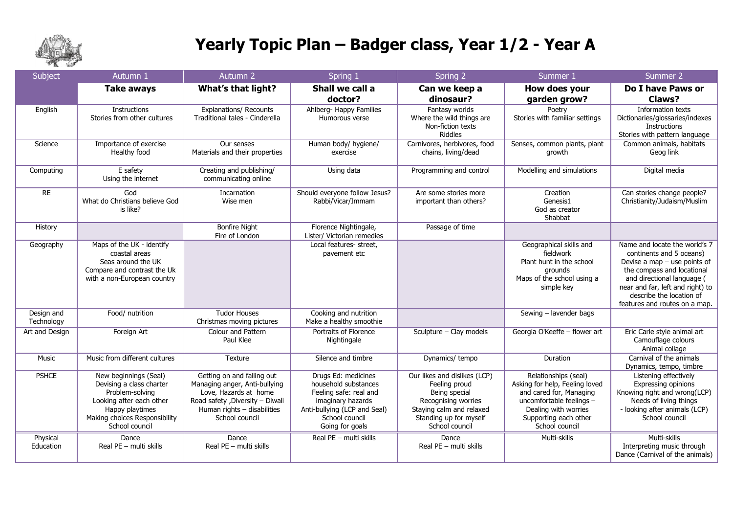

## **Yearly Topic Plan – Badger class, Year 1/2 - Year A**

| Subject                  | Autumn 1                                                                                                                                                               | Autumn <sub>2</sub>                                                                                                                                                       | Spring 1                                                                                                                                                        | Spring 2                                                                                                                                                      | Summer 1                                                                                                                                                                         | Summer 2                                                                                                                                                                                                                                                 |
|--------------------------|------------------------------------------------------------------------------------------------------------------------------------------------------------------------|---------------------------------------------------------------------------------------------------------------------------------------------------------------------------|-----------------------------------------------------------------------------------------------------------------------------------------------------------------|---------------------------------------------------------------------------------------------------------------------------------------------------------------|----------------------------------------------------------------------------------------------------------------------------------------------------------------------------------|----------------------------------------------------------------------------------------------------------------------------------------------------------------------------------------------------------------------------------------------------------|
|                          | <b>Take aways</b>                                                                                                                                                      | <b>What's that light?</b>                                                                                                                                                 | Shall we call a<br>doctor?                                                                                                                                      | Can we keep a<br>dinosaur?                                                                                                                                    | How does your<br>garden grow?                                                                                                                                                    | Do I have Paws or<br>Claws?                                                                                                                                                                                                                              |
| English                  | <b>Instructions</b><br>Stories from other cultures                                                                                                                     | <b>Explanations/ Recounts</b><br>Traditional tales - Cinderella                                                                                                           | Ahlberg- Happy Families<br>Humorous verse                                                                                                                       | Fantasy worlds<br>Where the wild things are<br>Non-fiction texts<br><b>Riddles</b>                                                                            | Poetry<br>Stories with familiar settings                                                                                                                                         | Information texts<br>Dictionaries/glossaries/indexes<br>Instructions<br>Stories with pattern language                                                                                                                                                    |
| Science                  | Importance of exercise<br>Healthy food                                                                                                                                 | Our senses<br>Materials and their properties                                                                                                                              | Human body/ hygiene/<br>exercise                                                                                                                                | Carnivores, herbivores, food<br>chains, living/dead                                                                                                           | Senses, common plants, plant<br>growth                                                                                                                                           | Common animals, habitats<br>Geog link                                                                                                                                                                                                                    |
| Computing                | E safety<br>Using the internet                                                                                                                                         | Creating and publishing/<br>communicating online                                                                                                                          | Using data                                                                                                                                                      | Programming and control                                                                                                                                       | Modelling and simulations                                                                                                                                                        | Digital media                                                                                                                                                                                                                                            |
| <b>RE</b>                | God<br>What do Christians believe God<br>is like?                                                                                                                      | Incarnation<br>Wise men                                                                                                                                                   | Should everyone follow Jesus?<br>Rabbi/Vicar/Immam                                                                                                              | Are some stories more<br>important than others?                                                                                                               | Creation<br>Genesis1<br>God as creator<br>Shabbat                                                                                                                                | Can stories change people?<br>Christianity/Judaism/Muslim                                                                                                                                                                                                |
| History                  |                                                                                                                                                                        | <b>Bonfire Night</b><br>Fire of London                                                                                                                                    | Florence Nightingale,<br>Lister/ Victorian remedies                                                                                                             | Passage of time                                                                                                                                               |                                                                                                                                                                                  |                                                                                                                                                                                                                                                          |
| Geography                | Maps of the UK - identify<br>coastal areas<br>Seas around the UK<br>Compare and contrast the Uk<br>with a non-European country                                         |                                                                                                                                                                           | Local features- street,<br>pavement etc                                                                                                                         |                                                                                                                                                               | Geographical skills and<br>fieldwork<br>Plant hunt in the school<br>grounds<br>Maps of the school using a<br>simple key                                                          | Name and locate the world's 7<br>continents and 5 oceans)<br>Devise a map $-$ use points of<br>the compass and locational<br>and directional language (<br>near and far, left and right) to<br>describe the location of<br>features and routes on a map. |
| Design and<br>Technology | Food/ nutrition                                                                                                                                                        | <b>Tudor Houses</b><br>Christmas moving pictures                                                                                                                          | Cooking and nutrition<br>Make a healthy smoothie                                                                                                                |                                                                                                                                                               | Sewing - lavender bags                                                                                                                                                           |                                                                                                                                                                                                                                                          |
| Art and Design           | Foreign Art                                                                                                                                                            | <b>Colour and Pattern</b><br>Paul Klee                                                                                                                                    | Portraits of Florence<br>Nightingale                                                                                                                            | Sculpture - Clay models                                                                                                                                       | Georgia O'Keeffe - flower art                                                                                                                                                    | Eric Carle style animal art<br>Camouflage colours<br>Animal collage                                                                                                                                                                                      |
| Music                    | Music from different cultures                                                                                                                                          | Texture                                                                                                                                                                   | Silence and timbre                                                                                                                                              | Dynamics/ tempo                                                                                                                                               | Duration                                                                                                                                                                         | Carnival of the animals<br>Dynamics, tempo, timbre                                                                                                                                                                                                       |
| <b>PSHCE</b>             | New beginnings (Seal)<br>Devising a class charter<br>Problem-solving<br>Looking after each other<br>Happy playtimes<br>Making choices Responsibility<br>School council | Getting on and falling out<br>Managing anger, Anti-bullying<br>Love, Hazards at home<br>Road safety , Diversity - Diwali<br>Human rights - disabilities<br>School council | Drugs Ed: medicines<br>household substances<br>Feeling safe: real and<br>imaginary hazards<br>Anti-bullying (LCP and Seal)<br>School council<br>Going for goals | Our likes and dislikes (LCP)<br>Feeling proud<br>Being special<br>Recognising worries<br>Staying calm and relaxed<br>Standing up for myself<br>School council | Relationships (seal)<br>Asking for help, Feeling loved<br>and cared for, Managing<br>uncomfortable feelings -<br>Dealing with worries<br>Supporting each other<br>School council | Listening effectively<br>Expressing opinions<br>Knowing right and wrong(LCP)<br>Needs of living things<br>- looking after animals (LCP)<br>School council                                                                                                |
| Physical<br>Education    | Dance<br>Real PE - multi skills                                                                                                                                        | Dance<br>Real PE - multi skills                                                                                                                                           | Real PE - multi skills                                                                                                                                          | Dance<br>Real PE - multi skills                                                                                                                               | Multi-skills                                                                                                                                                                     | Multi-skills<br>Interpreting music through<br>Dance (Carnival of the animals)                                                                                                                                                                            |